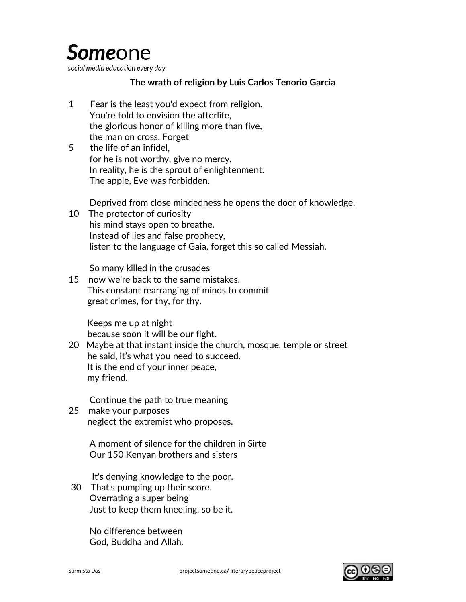## **Some**one

social media education every day

## **The wrath of religion by Luis Carlos Tenorio Garcia**

- 1 Fear is the least you'd expect from religion. You're told to envision the afterlife, the glorious honor of killing more than five, the man on cross. Forget
- 5 the life of an infidel, for he is not worthy, give no mercy. In reality, he is the sprout of enlightenment. The apple, Eve was forbidden.

Deprived from close mindedness he opens the door of knowledge.

10 The protector of curiosity his mind stays open to breathe. Instead of lies and false prophecy, listen to the language of Gaia, forget this so called Messiah.

So many killed in the crusades

15 now we're back to the same mistakes. This constant rearranging of minds to commit great crimes, for thy, for thy.

 Keeps me up at night because soon it will be our fight.

20 Maybe at that instant inside the church, mosque, temple or street he said, it's what you need to succeed. It is the end of your inner peace, my friend.

Continue the path to true meaning

25 make your purposes neglect the extremist who proposes.

> A moment of silence for the children in Sirte Our 150 Kenyan brothers and sisters

It's denying knowledge to the poor.

30 That's pumping up their score. Overrating a super being Just to keep them kneeling, so be it.

> No difference between God, Buddha and Allah.